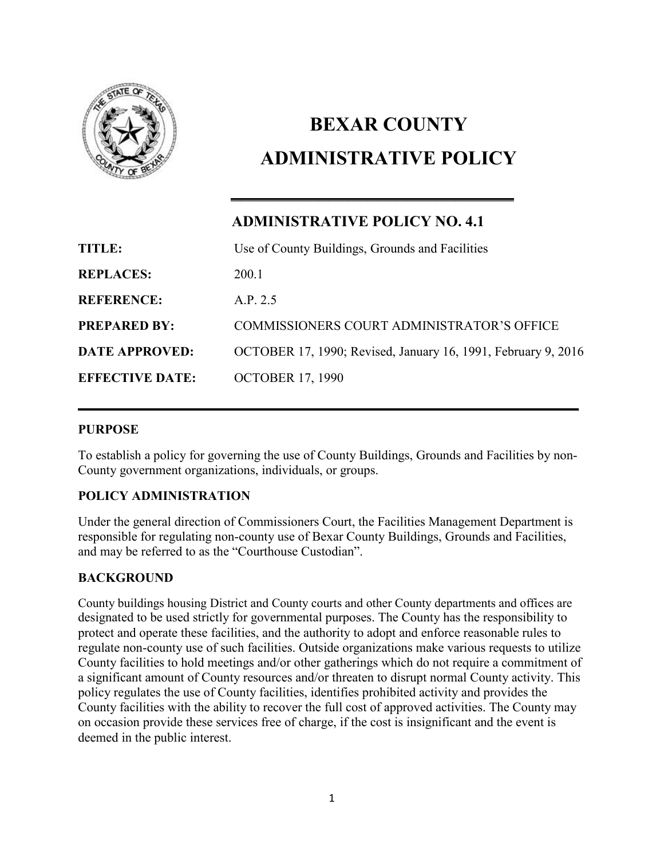

# **BEXAR COUNTY ADMINISTRATIVE POLICY**

# **ADMINISTRATIVE POLICY NO. 4.1**

\_\_\_\_\_\_\_\_\_\_\_\_\_\_\_\_\_\_\_\_\_\_\_\_\_\_\_\_\_

| <b>TITLE:</b>          | Use of County Buildings, Grounds and Facilities               |
|------------------------|---------------------------------------------------------------|
| <b>REPLACES:</b>       | 200 1                                                         |
| <b>REFERENCE:</b>      | A.P. 2.5                                                      |
| <b>PREPARED BY:</b>    | COMMISSIONERS COURT ADMINISTRATOR'S OFFICE                    |
| <b>DATE APPROVED:</b>  | OCTOBER 17, 1990; Revised, January 16, 1991, February 9, 2016 |
| <b>EFFECTIVE DATE:</b> | <b>OCTOBER 17, 1990</b>                                       |

# **PURPOSE**

To establish a policy for governing the use of County Buildings, Grounds and Facilities by non-County government organizations, individuals, or groups.

\_\_\_\_\_\_\_\_\_\_\_\_\_\_\_\_\_\_\_\_\_\_\_\_\_\_\_\_\_\_\_\_\_\_\_\_\_\_\_\_\_\_\_\_\_\_\_\_\_\_\_\_\_\_\_\_\_\_\_\_\_\_\_\_\_\_\_\_\_\_\_\_\_\_\_\_\_

# **POLICY ADMINISTRATION**

Under the general direction of Commissioners Court, the Facilities Management Department is responsible for regulating non-county use of Bexar County Buildings, Grounds and Facilities, and may be referred to as the "Courthouse Custodian".

# **BACKGROUND**

County buildings housing District and County courts and other County departments and offices are designated to be used strictly for governmental purposes. The County has the responsibility to protect and operate these facilities, and the authority to adopt and enforce reasonable rules to regulate non-county use of such facilities. Outside organizations make various requests to utilize County facilities to hold meetings and/or other gatherings which do not require a commitment of a significant amount of County resources and/or threaten to disrupt normal County activity. This policy regulates the use of County facilities, identifies prohibited activity and provides the County facilities with the ability to recover the full cost of approved activities. The County may on occasion provide these services free of charge, if the cost is insignificant and the event is deemed in the public interest.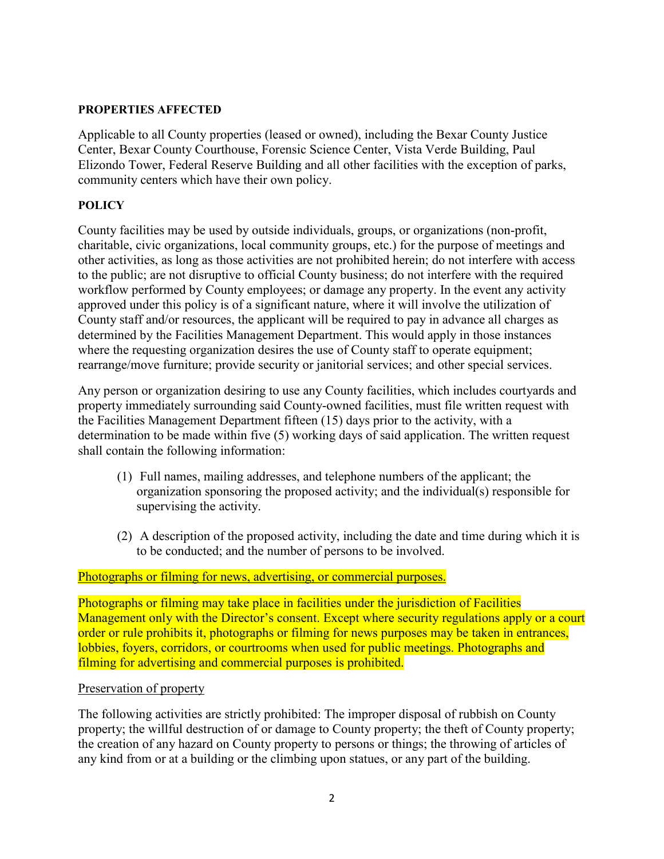# **PROPERTIES AFFECTED**

Applicable to all County properties (leased or owned), including the Bexar County Justice Center, Bexar County Courthouse, Forensic Science Center, Vista Verde Building, Paul Elizondo Tower, Federal Reserve Building and all other facilities with the exception of parks, community centers which have their own policy.

# **POLICY**

County facilities may be used by outside individuals, groups, or organizations (non-profit, charitable, civic organizations, local community groups, etc.) for the purpose of meetings and other activities, as long as those activities are not prohibited herein; do not interfere with access to the public; are not disruptive to official County business; do not interfere with the required workflow performed by County employees; or damage any property. In the event any activity approved under this policy is of a significant nature, where it will involve the utilization of County staff and/or resources, the applicant will be required to pay in advance all charges as determined by the Facilities Management Department. This would apply in those instances where the requesting organization desires the use of County staff to operate equipment; rearrange/move furniture; provide security or janitorial services; and other special services.

Any person or organization desiring to use any County facilities, which includes courtyards and property immediately surrounding said County-owned facilities, must file written request with the Facilities Management Department fifteen (15) days prior to the activity, with a determination to be made within five (5) working days of said application. The written request shall contain the following information:

- (1) Full names, mailing addresses, and telephone numbers of the applicant; the organization sponsoring the proposed activity; and the individual(s) responsible for supervising the activity.
- (2) A description of the proposed activity, including the date and time during which it is to be conducted; and the number of persons to be involved.

### Photographs or filming for news, advertising, or commercial purposes.

Photographs or filming may take place in facilities under the jurisdiction of Facilities Management only with the Director's consent. Except where security regulations apply or a court order or rule prohibits it, photographs or filming for news purposes may be taken in entrances, lobbies, foyers, corridors, or courtrooms when used for public meetings. Photographs and filming for advertising and commercial purposes is prohibited.

### Preservation of property

The following activities are strictly prohibited: The improper disposal of rubbish on County property; the willful destruction of or damage to County property; the theft of County property; the creation of any hazard on County property to persons or things; the throwing of articles of any kind from or at a building or the climbing upon statues, or any part of the building.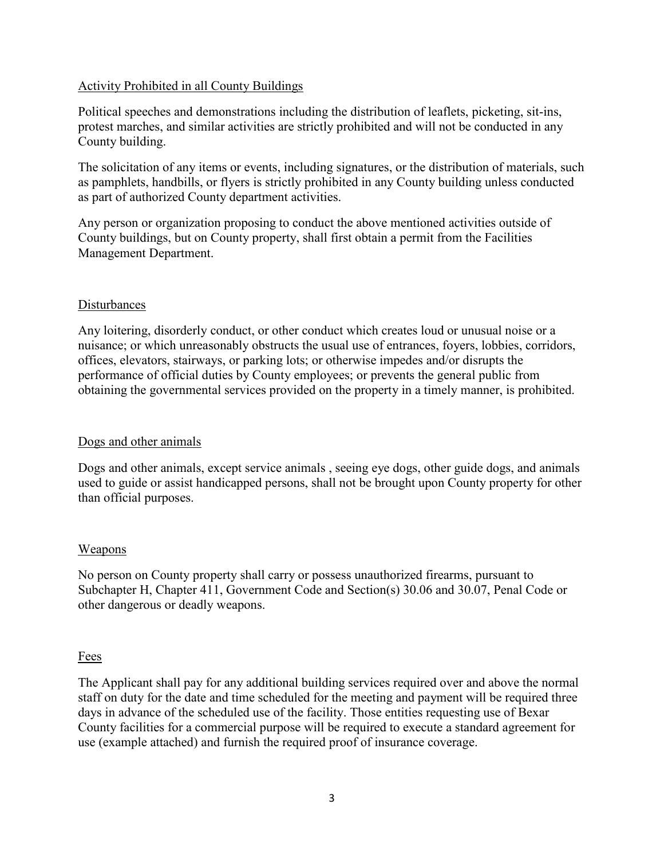# Activity Prohibited in all County Buildings

Political speeches and demonstrations including the distribution of leaflets, picketing, sit-ins, protest marches, and similar activities are strictly prohibited and will not be conducted in any County building.

The solicitation of any items or events, including signatures, or the distribution of materials, such as pamphlets, handbills, or flyers is strictly prohibited in any County building unless conducted as part of authorized County department activities.

Any person or organization proposing to conduct the above mentioned activities outside of County buildings, but on County property, shall first obtain a permit from the Facilities Management Department.

### Disturbances

Any loitering, disorderly conduct, or other conduct which creates loud or unusual noise or a nuisance; or which unreasonably obstructs the usual use of entrances, foyers, lobbies, corridors, offices, elevators, stairways, or parking lots; or otherwise impedes and/or disrupts the performance of official duties by County employees; or prevents the general public from obtaining the governmental services provided on the property in a timely manner, is prohibited.

# Dogs and other animals

Dogs and other animals, except service animals , seeing eye dogs, other guide dogs, and animals used to guide or assist handicapped persons, shall not be brought upon County property for other than official purposes.

### Weapons

No person on County property shall carry or possess unauthorized firearms, pursuant to Subchapter H, Chapter 411, Government Code and Section(s) 30.06 and 30.07, Penal Code or other dangerous or deadly weapons.

### Fees

The Applicant shall pay for any additional building services required over and above the normal staff on duty for the date and time scheduled for the meeting and payment will be required three days in advance of the scheduled use of the facility. Those entities requesting use of Bexar County facilities for a commercial purpose will be required to execute a standard agreement for use (example attached) and furnish the required proof of insurance coverage.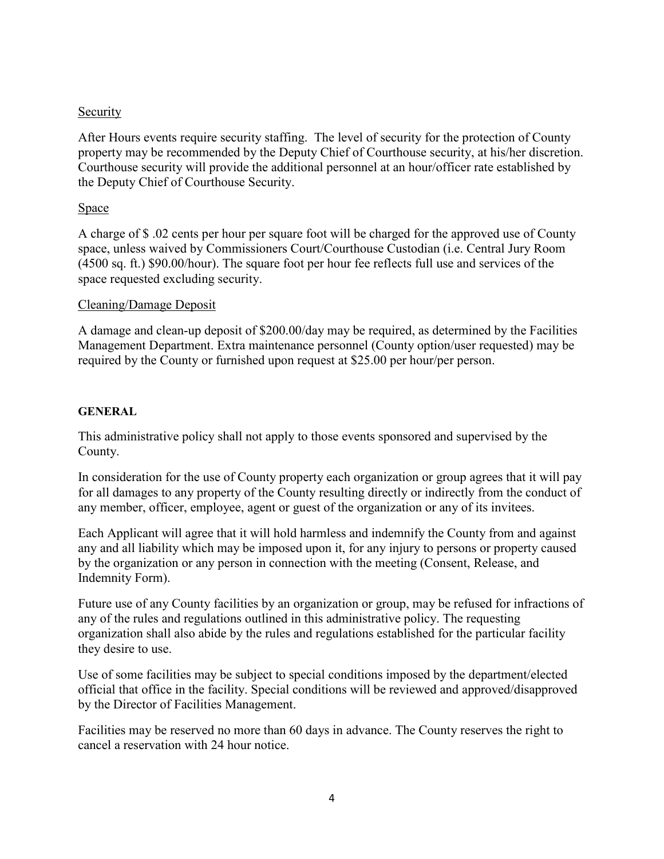# **Security**

After Hours events require security staffing. The level of security for the protection of County property may be recommended by the Deputy Chief of Courthouse security, at his/her discretion. Courthouse security will provide the additional personnel at an hour/officer rate established by the Deputy Chief of Courthouse Security.

# Space

A charge of \$ .02 cents per hour per square foot will be charged for the approved use of County space, unless waived by Commissioners Court/Courthouse Custodian (i.e. Central Jury Room (4500 sq. ft.) \$90.00/hour). The square foot per hour fee reflects full use and services of the space requested excluding security.

### Cleaning/Damage Deposit

A damage and clean-up deposit of \$200.00/day may be required, as determined by the Facilities Management Department. Extra maintenance personnel (County option/user requested) may be required by the County or furnished upon request at \$25.00 per hour/per person.

# **GENERAL**

This administrative policy shall not apply to those events sponsored and supervised by the County.

In consideration for the use of County property each organization or group agrees that it will pay for all damages to any property of the County resulting directly or indirectly from the conduct of any member, officer, employee, agent or guest of the organization or any of its invitees.

Each Applicant will agree that it will hold harmless and indemnify the County from and against any and all liability which may be imposed upon it, for any injury to persons or property caused by the organization or any person in connection with the meeting (Consent, Release, and Indemnity Form).

Future use of any County facilities by an organization or group, may be refused for infractions of any of the rules and regulations outlined in this administrative policy. The requesting organization shall also abide by the rules and regulations established for the particular facility they desire to use.

Use of some facilities may be subject to special conditions imposed by the department/elected official that office in the facility. Special conditions will be reviewed and approved/disapproved by the Director of Facilities Management.

Facilities may be reserved no more than 60 days in advance. The County reserves the right to cancel a reservation with 24 hour notice.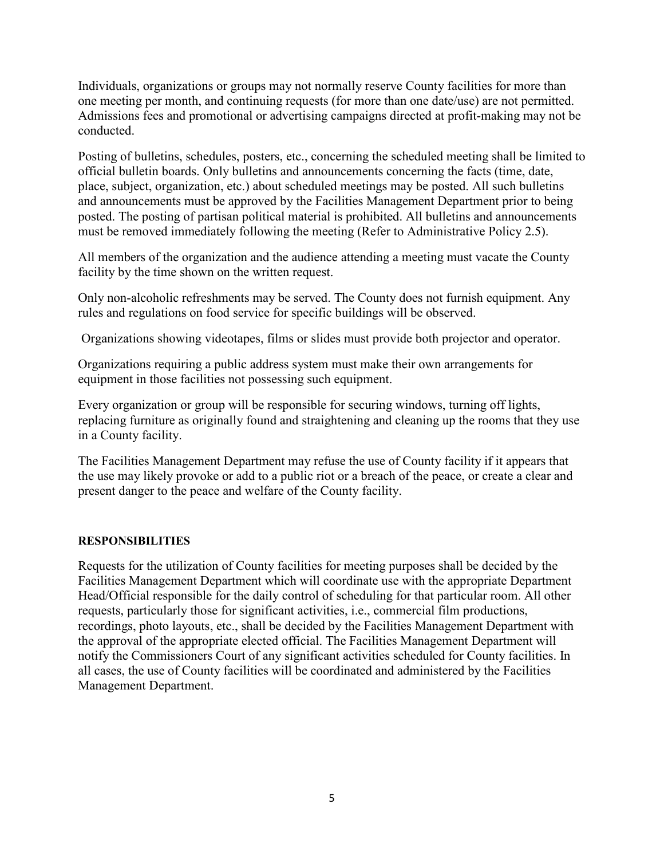Individuals, organizations or groups may not normally reserve County facilities for more than one meeting per month, and continuing requests (for more than one date/use) are not permitted. Admissions fees and promotional or advertising campaigns directed at profit-making may not be conducted.

Posting of bulletins, schedules, posters, etc., concerning the scheduled meeting shall be limited to official bulletin boards. Only bulletins and announcements concerning the facts (time, date, place, subject, organization, etc.) about scheduled meetings may be posted. All such bulletins and announcements must be approved by the Facilities Management Department prior to being posted. The posting of partisan political material is prohibited. All bulletins and announcements must be removed immediately following the meeting (Refer to Administrative Policy 2.5).

All members of the organization and the audience attending a meeting must vacate the County facility by the time shown on the written request.

Only non-alcoholic refreshments may be served. The County does not furnish equipment. Any rules and regulations on food service for specific buildings will be observed.

Organizations showing videotapes, films or slides must provide both projector and operator.

Organizations requiring a public address system must make their own arrangements for equipment in those facilities not possessing such equipment.

Every organization or group will be responsible for securing windows, turning off lights, replacing furniture as originally found and straightening and cleaning up the rooms that they use in a County facility.

The Facilities Management Department may refuse the use of County facility if it appears that the use may likely provoke or add to a public riot or a breach of the peace, or create a clear and present danger to the peace and welfare of the County facility.

### **RESPONSIBILITIES**

Requests for the utilization of County facilities for meeting purposes shall be decided by the Facilities Management Department which will coordinate use with the appropriate Department Head/Official responsible for the daily control of scheduling for that particular room. All other requests, particularly those for significant activities, i.e., commercial film productions, recordings, photo layouts, etc., shall be decided by the Facilities Management Department with the approval of the appropriate elected official. The Facilities Management Department will notify the Commissioners Court of any significant activities scheduled for County facilities. In all cases, the use of County facilities will be coordinated and administered by the Facilities Management Department.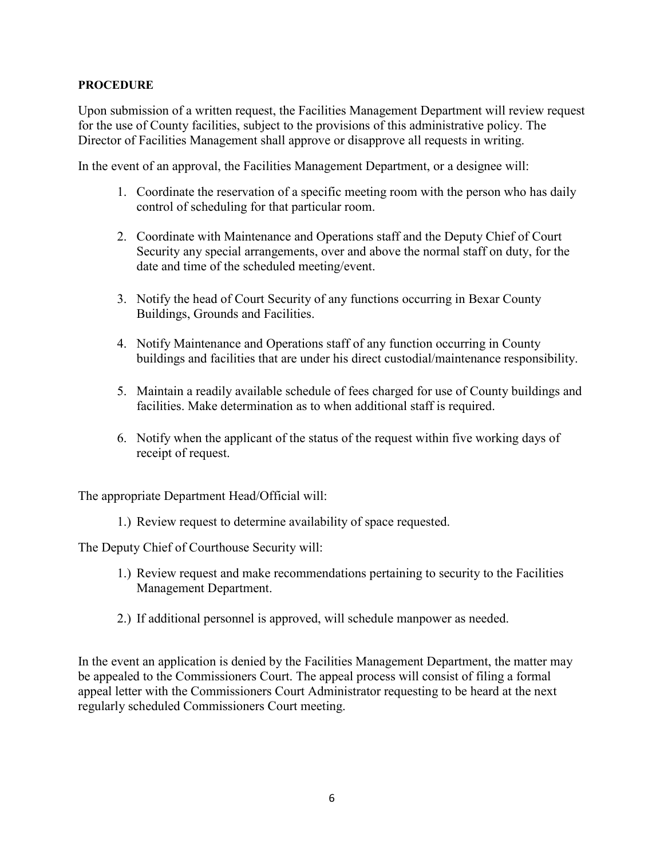## **PROCEDURE**

Upon submission of a written request, the Facilities Management Department will review request for the use of County facilities, subject to the provisions of this administrative policy. The Director of Facilities Management shall approve or disapprove all requests in writing.

In the event of an approval, the Facilities Management Department, or a designee will:

- 1. Coordinate the reservation of a specific meeting room with the person who has daily control of scheduling for that particular room.
- 2. Coordinate with Maintenance and Operations staff and the Deputy Chief of Court Security any special arrangements, over and above the normal staff on duty, for the date and time of the scheduled meeting/event.
- 3. Notify the head of Court Security of any functions occurring in Bexar County Buildings, Grounds and Facilities.
- 4. Notify Maintenance and Operations staff of any function occurring in County buildings and facilities that are under his direct custodial/maintenance responsibility.
- 5. Maintain a readily available schedule of fees charged for use of County buildings and facilities. Make determination as to when additional staff is required.
- 6. Notify when the applicant of the status of the request within five working days of receipt of request.

The appropriate Department Head/Official will:

1.) Review request to determine availability of space requested.

The Deputy Chief of Courthouse Security will:

- 1.) Review request and make recommendations pertaining to security to the Facilities Management Department.
- 2.) If additional personnel is approved, will schedule manpower as needed.

In the event an application is denied by the Facilities Management Department, the matter may be appealed to the Commissioners Court. The appeal process will consist of filing a formal appeal letter with the Commissioners Court Administrator requesting to be heard at the next regularly scheduled Commissioners Court meeting.